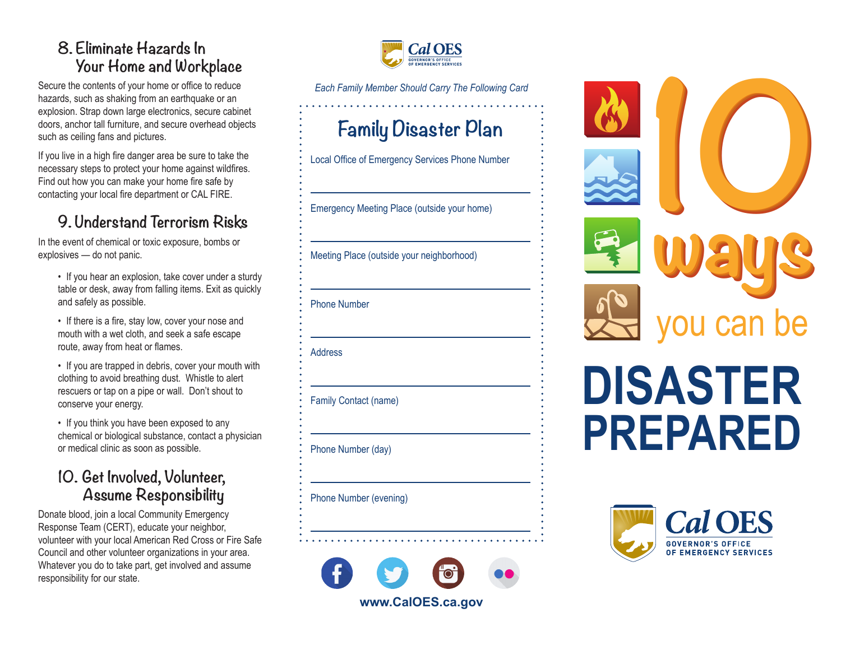## **8. Eliminate Hazards In Your Home and Workplace**

Secure the contents of your home or office to reduce hazards, such as shaking from an earthquake or an explosion. Strap down large electronics, secure cabinet doors, anchor tall furniture, and secure overhead objects such as ceiling fans and pictures.

If you live in a high fire danger area be sure to take the necessary steps to protect your home against wildfires. Find out how you can make your home fire safe by contacting your local fire department or CAL FIRE.

## **9. Understand Terrorism Risks**

In the event of chemical or toxic exposure, bombs or explosives — do not panic.

- If you hear an explosion, take cover under a sturdy table or desk, away from falling items. Exit as quickly and safely as possible.
- If there is a fire, stay low, cover your nose and mouth with a wet cloth, and seek a safe escape route, away from heat or flames.
- If you are trapped in debris, cover your mouth with clothing to avoid breathing dust. Whistle to alert rescuers or tap on a pipe or wall. Don't shout to conserve your energy.
- If you think you have been exposed to any chemical or biological substance, contact a physician or medical clinic as soon as possible.

## **10. Get Involved, Volunteer, Assume Responsibility**

Donate blood, join a local Community Emergency Response Team (CERT), educate your neighbor, volunteer with your local American Red Cross or Fire Safe Council and other volunteer organizations in your area. Whatever you do to take part, get involved and assume responsibility for our state.



*Each Family Member Should Carry The Following Card* 

# **Family Disaster Plan**

Local Office of Emergency Services Phone Number

Emergency Meeting Place (outside your home)

Meeting Place (outside your neighborhood)

#### Phone Number

Address

Family Contact (name)

Phone Number (day)

Phone Number (evening)





# **DISASTER PREPARED**